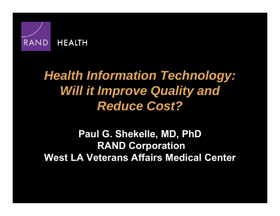

# *Health Information Technology: Will it Improve Quality and Reduce Cost?*

### **Paul G. Shekelle, MD, PhD RAND Corporation West LA Veterans Affairs Medical Center**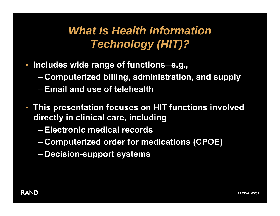# *What Is Health Information Technology (HIT)?*

- **Includes wide range of functions ─e.g.,**
	- –**Computerized billing, administration, and supply**
	- **Email and use of telehealth**
- **This presentation focuses on HIT functions involved directly in clinical care, including** 
	- **Electronic medical records**
	- **Hart Adams and Adams Computerized order for medications (CPOE)**
	- **Hart Adams and Adams Decision-support systems**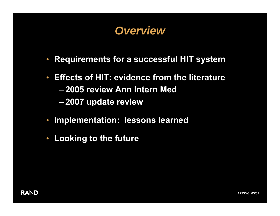### *Overview*

- **Requirements for a successful HIT system**
- $\bullet$  **Effects of HIT: evidence from the literature** – **2005 review Ann Intern Med**
	- **Hart Adams and Adams 2007 update review**
- $\bullet$ **Implementation: lessons learned**
- $\bullet$ **Looking to the future**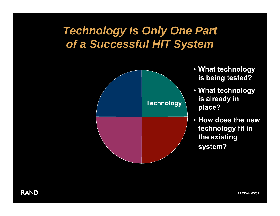## *Technology Is Only One Part of a Successful HIT System*



- **What technology is being tested?**
- **What technology is already in place?**
- **How does the new technology fit in the existing system?**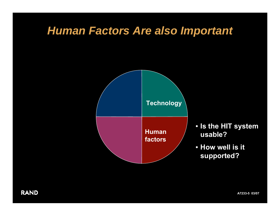### *Human Factors Are also Important*



- **Is the HIT system usable?**
- **How well is it supported?**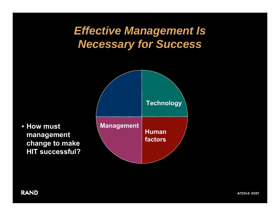## *Effective Management Is Necessary for Success*



• **How must management change to make HIT successful?**

**RAND**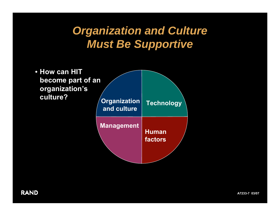# *Organization and Culture Must Be Supportive*

**Organization and culture** • **How can HIT become part of an organization's culture?Management Human factorsTechnology**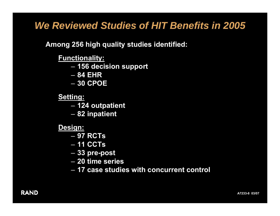### *We Reviewed Studies of HIT Benefits in 2005*

#### **Among 256 high quality studies identified:**

#### **Functionality:**

- $\mathcal{L}_{\mathcal{A}}$ **156 decision support**
- **84 EHR**
- **30 CPOE**

#### **Setting:**

- –**124 outpatient**
- –**82 inpatient**
- **Design:**
	- **97 RCTs**
	- **11 CCTs**
	- $\mathcal{L}_{\mathcal{A}}$ **33 pre-post**
	- **20 time series**
	- **17 case studies with concurrent control**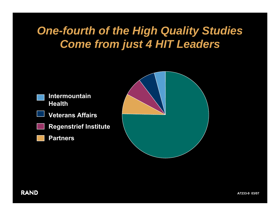# *One-fourth of the High Quality Studies Come from just 4 HIT Leaders*

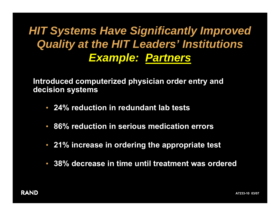# *HIT Systems Have Significantly Improved Quality at the HIT Leaders' Institutions Example: Partners*

**Introduced computerized physician order entry and decision systems**

- **24% reduction in redundant lab tests**
- $\bullet$ **86% reduction in serious medication errors**
- **21% increase in ordering the appropriate test**
- **38% decrease in time until treatment was ordered**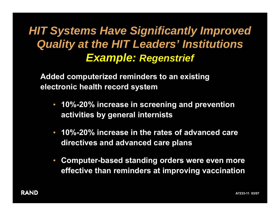# *HIT Systems Have Significantly Improved Quality at the HIT Leaders' Institutions Example: Regenstrief*

**Added computerized reminders to an existing electronic health record system**

- **10%-20% increase in screening and prevention activities by general internists**
- **10%-20% increase in the rates of advanced care directives and advanced care plans**
- $\bullet$  **Computer-based standing orders were even more effective than reminders at improving vaccination**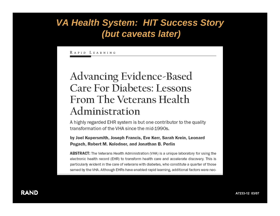### *VA Health System: HIT Success Story (but caveats later)*

RAPID LEARNING

### **Advancing Evidence-Based Care For Diabetes: Lessons** From The Veterans Health Administration

A highly regarded EHR system is but one contributor to the quality transformation of the VHA since the mid-1990s.

by Joel Kupersmith, Joseph Francis, Eve Kerr, Sarah Krein, Leonard Pogach, Robert M. Kolodner, and Jonathan B. Perlin

ABSTRACT: The Veterans Health Administration (VHA) is a unique laboratory for using the electronic health record (EHR) to transform health care and accelerate discovery. This is particularly evident in the care of veterans with diabetes, who constitute a quarter of those served by the VHA. Although EHRs have enabled rapid learning, additional factors were nec-

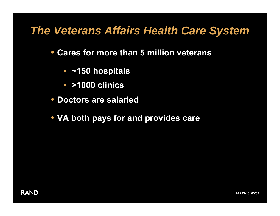### *The Veterans Affairs Health Care System*

- **Cares for more than 5 million veterans** 
	- **~150 hospitals**
	- **>1000 clinics**
- **Doctors are salaried**
- **VA both pays for and provides care**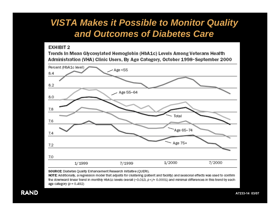### *VISTA Makes it Possible to Monitor Quality and Outcomes of Diabetes Care*

#### **EXHIBIT 2**

Trends in Mean Glycosylated Hemoglobin (HbA1c) Levels Among Veterans Health Administration (VHA) Clinic Users, By Age Category, October 1998-September 2000



SOURCE: Diabetes Quality Enhancement Research Initiative (QUERI).

NOTE: Additionally, a regression model that adjusts for clustering (patient and facility) and seasonal effects was used to confirm the downward linear trend in monthly HbA1c levels overall (-0.013,  $p$ </= 0.0001) and minimal differences in this trend by each age category (p = 0.492)

**RAND**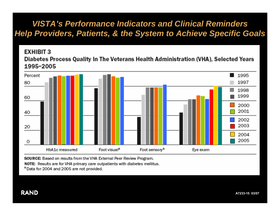### *VISTA's Performance Indicators and Clinical Reminders Help Providers, Patients, & the System to Achieve Specific Goals*

#### **EXHIBIT 3** Diabetes Process Quality In The Veterans Health Administration (VHA), Selected Years



SOURCE: Based on results from the VHA External Peer Review Program.

NOTE: Results are for VHA primary care outpatients with diabetes mellitus.

<sup>a</sup> Data for 2004 and 2005 are not provided.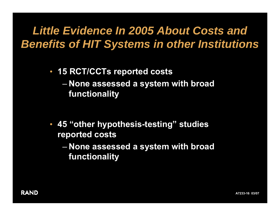# *Little Evidence In 2005 About Costs and Benefits of HIT Systems in other Institutions*

- **15 RCT/CCTs reported costs**  $\mathcal{L}_{\mathcal{A}}$  **None assessed a system with broad functionality**
- **45 "other hypothesis-testing" studies reported costs**
	- **None assessed a system with broad functionality**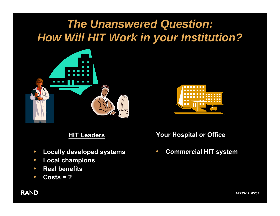# *The Unanswered Question: How Will HIT Work in your Institution?*





#### **HIT Leaders**

- $\bullet$ **Locally developed systems**
- $\bullet$ **Local champions**
- $\bullet$ **•** Real benefits
- $\bullet$ **Costs = ?**

#### **Your Hospital or Office**

 $\bullet$ **Commercial HIT system**

#### **RAND**

**A7233-17 03/07**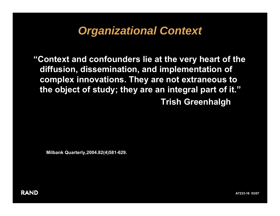## *Organizational Context*

**"Context and confounders lie at the very heart of the diffusion, dissemination, and implementation of complex innovations. They are not extraneous to the object of study; they are an integral part of it." Trish Greenhalgh**

**Milbank Quarterly,2004.82(4)581-629.**

**RAND** 

**A7233-18 03/07**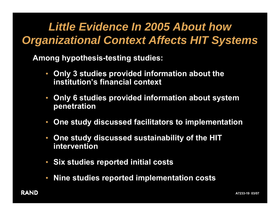# *Little Evidence In 2005 About how Organizational Context Affects HIT Systems*

**Among hypothesis-testing studies:**

- $\bullet$  **Only 3 studies provided information about the institution's financial context**
- $\bullet$  **Only 6 studies provided information about system penetration**
- $\bullet$ **One study discussed facilitators to implementation**
- $\bullet$  **One study discussed sustainability of the HIT intervention**
- **Six studies reported initial costs**
- $\bullet$ **Nine studies reported implementation costs**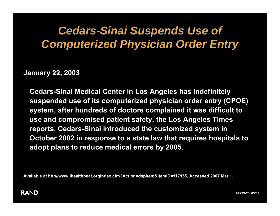## *Cedars-Sinai Suspends Use of Computerized Physician Order Entry*

**January 22, 2003**

**Cedars-Sinai Medical Center in Los Angeles has indefinitely suspended use of its computerized physician order entry (CPOE) system, after hundreds of doctors complained it was difficult to use and compromised patient safety, the Los Angeles Times reports. Cedars-Sinai introduced the customized system in October 2002 in response to a state law that requires hospitals to adopt plans to reduce medical errors by 2005.** 

**Available at http//www.ihealthbeat.orgindex.cfm?Action=dspItem&itemID=117155, Accessed 2007 Mar 1.**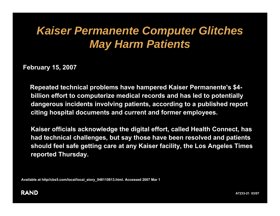# *Kaiser Permanente Computer Glitches May Harm Patients*

**February 15, 2007**

**Repeated technical problems have hampered Kaiser Permanente's \$4 billion effort to computerize medical records and has led to potentially dangerous incidents involving patients, according to a published report citing hospital documents and current and former employees.**

**Kaiser officials acknowledge the digital effort, called Health Connect, has had technical challenges, but say those have been resolved and patients should feel safe getting care at any Kaiser facility, the Los Angeles Times reported Thursday.**

**Available at http//cbs5.com/local/local\_story\_046110813.html. Accessed 2007 Mar 1**

#### **RAND**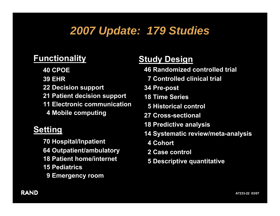# *2007 Update: 179 Studies*

### **Functionality**

- **40 CPOE**
- **39 EHR**
- **22 Decision support**
- **21 Patient decision support**
- **11 Electronic communication4 Mobile computing**

#### **Setting**

**70 Hospital/Inpatient 64 Outpatient/ambulatory 18 Patient home/internet15 Pediatrics 9 Emergency room**

### **Study Design**

- **46 Randomized controlled trial**
	- **7 Controlled clinical trial**
- **34 Pre-post**
- **18 Time Series**
	- **5 Historical control**
- **27 Cross-sectional**
- **18 Predictive analysis**
- **14 Systematic review/meta-analysis**
	- **4 Cohort**
	- **2 Case control**
	- **5 Descriptive quantitative**

#### **RAND**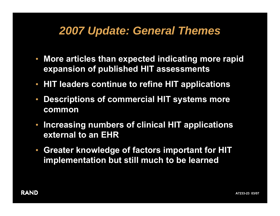## *2007 Update: General Themes*

- **More articles than expected indicating more rapid expansion of published HIT assessments**
- **HIT leaders continue to refine HIT applications**
- **Descriptions of commercial HIT systems more common**
- $\bullet$  **Increasing numbers of clinical HIT applications external to an EHR**
- **Greater knowledge of factors important for HIT implementation but still much to be learned**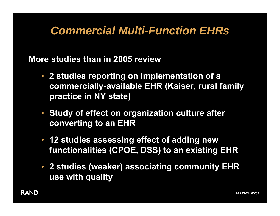## *Commercial Multi-Function EHRs*

**More studies than in 2005 review**

- **2 studies reporting on implementation of a commercially-available EHR (Kaiser, rural family practice in NY state)**
- **Study of effect on organization culture after converting to an EHR**
- **12 studies assessing effect of adding new functionalities (CPOE, DSS) to an existing EHR**
- **2 studies (weaker) associating community EHR use with quality**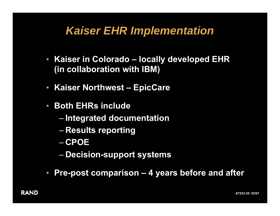## *Kaiser EHR Implementation*

- **Kaiser in Colorado – locally developed EHR (in collaboration with IBM)**
- $\bullet$ **Kaiser Northwest – EpicCare**
- $\bullet$ **• Both EHRs include** 
	- –**Integrated documentation**
	- –**Results reporting**
	- **CPOE**
	- –**Decision-support systems**
- $\bullet$ **Pre-post comparison – 4 years before and after**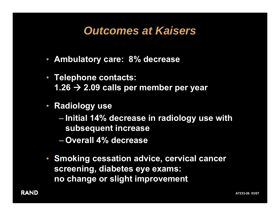## *Outcomes at Kaisers*

- **Ambulatory care: 8% decrease**
- **Telephone contacts: 1.26**  Æ **2.09 calls per member per year**
- $\bullet$  **Radiology use**
	- – **Initial 14% decrease in radiology use with subsequent increase**
	- **Overall 4% decrease**
- **Smoking cessation advice, cervical cancer screening, diabetes eye exams: no change or slight improvement**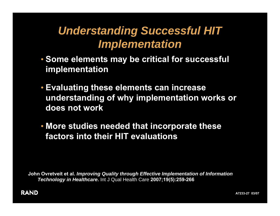# *Understanding Successful HIT Implementation*

- **Some elements may be critical for successful implementation**
- **Evaluating these elements can increase understanding of why implementation works or does not work**
- **More studies needed that incorporate these factors into their HIT evaluations**

**John Ovretveit et al.** *Improving Quality through Effective Implementation of Information Technology in Healthcare***.** Int J Qual Health Care **2007;19(5):259-266**

#### **RAND**

**A7233-27 03/07**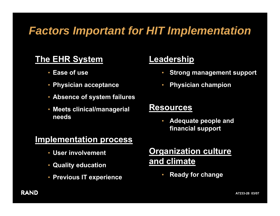## *Factors Important for HIT Implementation*

### **The EHR System**

- **Ease of use**
- **Physician acceptance**
- **Absence of system failures**
- **Meets clinical/managerial needs**

#### **Implementation process**

- **User involvement**
- **Quality education**
- **Previous IT experience**

#### **Leadership**

- **Strong management support**
- $\bullet$ **Physician champion**

#### **Resources**

• **Adequate people and financial support**

### **Organization culture and climate**

•**Ready for change** 

#### **RAND**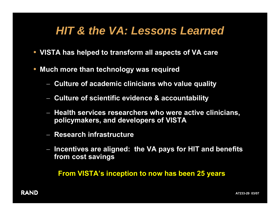## *HIT & the VA: Lessons Learned*

- **VISTA has helped to transform all aspects of VA care**
- • **Much more than technology was required**
	- **Culture of academic clinicians who value quality**
	- −**Culture of scientific evidence & accountability**
	- − **Health services researchers who were active clinicians, policymakers, and developers of VISTA**
	- − **Research infrastructure**
	- − **Incentives are aligned: the VA pays for HIT and benefits from cost savings**

**From VISTA's inception to now has been 25 years**

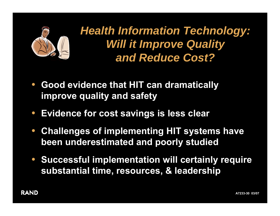

*Health Information Technology: Will it Improve Quality and Reduce Cost?*

- $\bullet$  **Good evidence that HIT can dramatically improve quality and safety**
- $\bullet$ **Evidence for cost savings is less clear**
- $\bullet$  **Challenges of implementing HIT systems have been underestimated and poorly studied**
- $\bullet$  **Successful implementation will certainly require substantial time, resources, & leadership**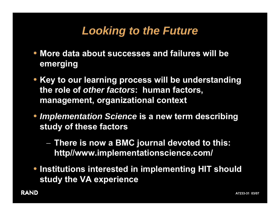# *Looking to the Future*

- **More data about successes and failures will be emerging**
- **Key to our learning process will be understanding the role of** *other factors***: human factors, management, organizational context**
- *Implementation Science* **is a new term describing study of these factors**
	- **There is now a BMC journal devoted to this: http//www.implementationscience.com/**
- **Institutions interested in implementing HIT should study the VA experience**

**RAND**